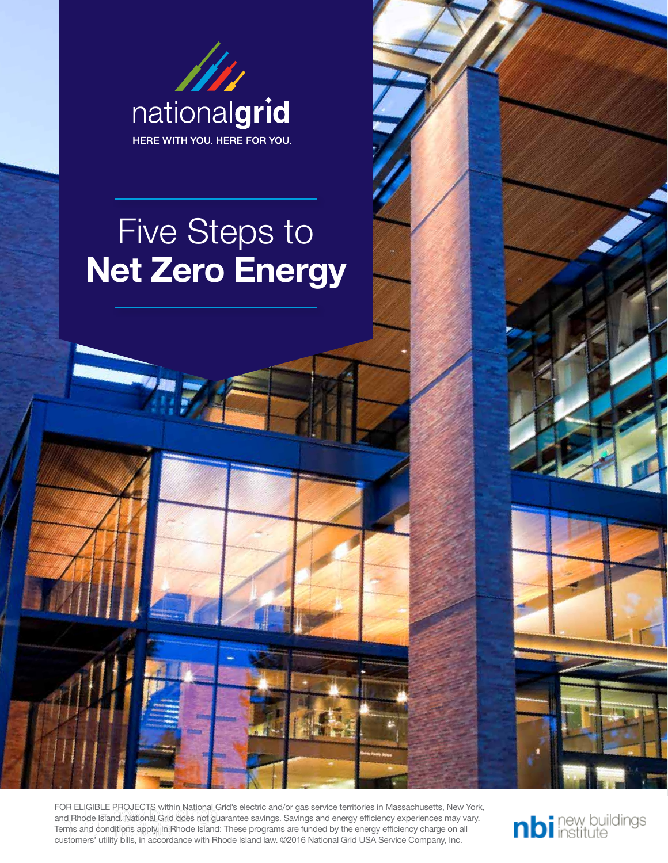

FOR ELIGIBLE PROJECTS within National Grid's electric and/or gas service territories in Massachusetts, New York, and Rhode Island. National Grid does not guarantee savings. Savings and energy efficiency experiences may vary. Terms and conditions apply. In Rhode Island: These programs are funded by the energy efficiency charge on all customers' utility bills, in accordance with Rhode Island law. ©2016 National Grid USA Service Company, Inc.

nbi new buildings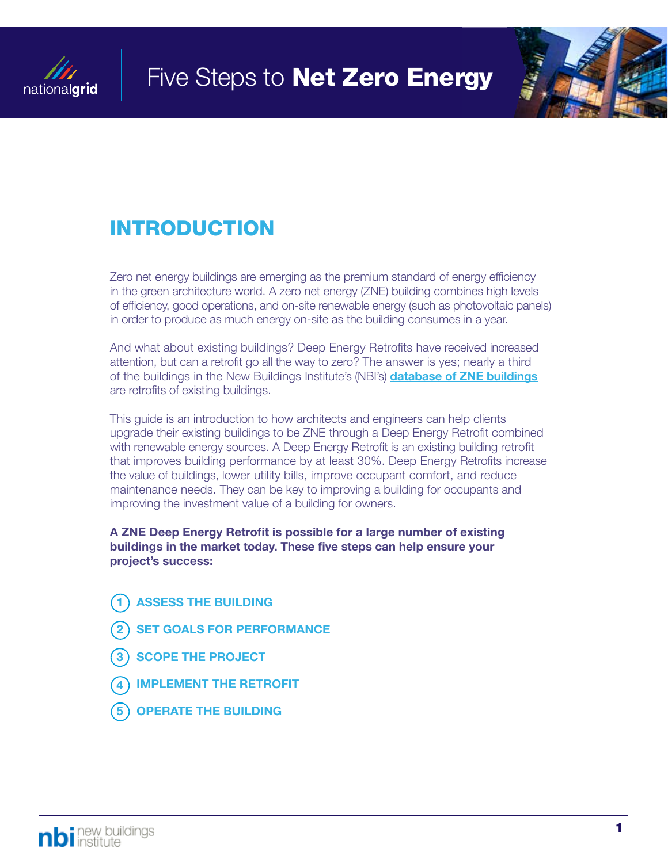



### INTRODUCTION

Zero net energy buildings are emerging as the premium standard of energy efficiency in the green architecture world. A zero net energy (ZNE) building combines high levels of efficiency, good operations, and on-site renewable energy (such as photovoltaic panels) in order to produce as much energy on-site as the building consumes in a year.

And what about existing buildings? Deep Energy Retrofits have received increased attention, but can a retrofit go all the way to zero? The answer is yes; nearly a third of the buildings in the New Buildings Institute's (NBI's) **[database of ZNE buildings](http://newbuildings.org/resource/getting-to-zero-database/)** are retrofits of existing buildings.

This guide is an introduction to how architects and engineers can help clients upgrade their existing buildings to be ZNE through a Deep Energy Retrofit combined with renewable energy sources. A Deep Energy Retrofit is an existing building retrofit that improves building performance by at least 30%. Deep Energy Retrofits increase the value of buildings, lower utility bills, improve occupant comfort, and reduce maintenance needs. They can be key to improving a building for occupants and improving the investment value of a building for owners.

A ZNE Deep Energy Retrofit is possible for a large number of existing buildings in the market today. These five steps can help ensure your project's success:

- **ASSESS THE BUILDING**
- **SET GOALS FOR PERFORMANCE**
- 3 SCOPE THE PROJECT
- **IMPLEMENT THE RETROFIT**
- 5 OPERATE THE BUILDING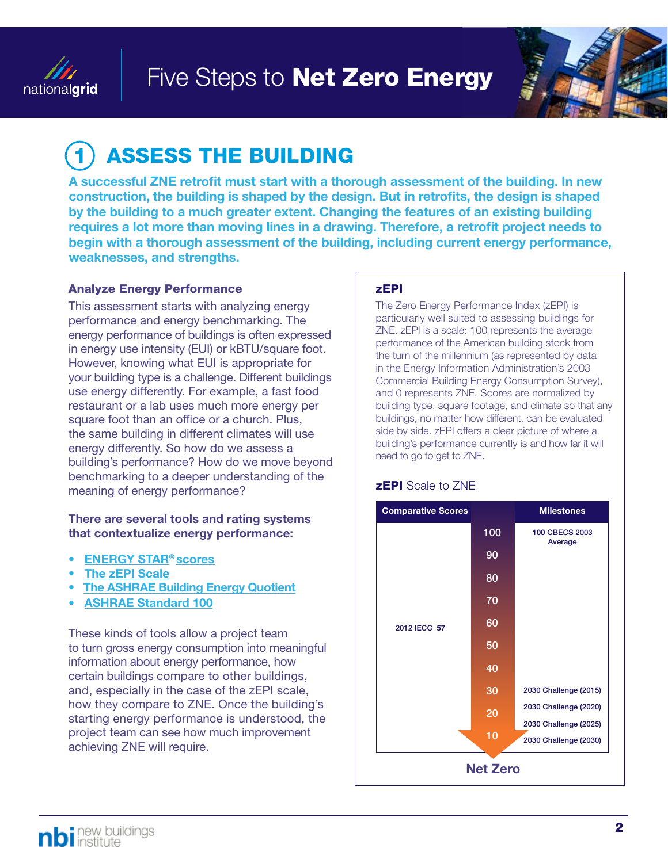



# **ASSESS THE BUILDING**

A successful ZNE retrofit must start with a thorough assessment of the building. In new construction, the building is shaped by the design. But in retrofits, the design is shaped by the building to a much greater extent. Changing the features of an existing building requires a lot more than moving lines in a drawing. Therefore, a retrofit project needs to begin with a thorough assessment of the building, including current energy performance, weaknesses, and strengths.

#### Analyze Energy Performance

This assessment starts with analyzing energy performance and energy benchmarking. The energy performance of buildings is often expressed in energy use intensity (EUI) or kBTU/square foot. However, knowing what EUI is appropriate for your building type is a challenge. Different buildings use energy differently. For example, a fast food restaurant or a lab uses much more energy per square foot than an office or a church. Plus, the same building in different climates will use energy differently. So how do we assess a building's performance? How do we move beyond benchmarking to a deeper understanding of the meaning of energy performance?

#### There are several tools and rating systems that contextualize energy performance:

- [ENERGY STAR®](https://www.energystar.gov/buildings/about-us/how-can-we-help-you/benchmark-energy-use/benchmarking) scores
- **[The zEPI Scale](http://newbuildings.org/code_policy/zepi/)**
- **[The ASHRAE Building Energy Quotient](http://buildingenergyquotient.org)**
- [ASHRAE Standard 100](https://www.ashrae.org/resources--publications/bookstore/standard-100)

These kinds of tools allow a project team to turn gross energy consumption into meaningful information about energy performance, how certain buildings compare to other buildings, and, especially in the case of the zEPI scale, how they compare to ZNE. Once the building's starting energy performance is understood, the project team can see how much improvement achieving ZNE will require.

#### zEPI

The Zero Energy Performance Index (zEPI) is particularly well suited to assessing buildings for ZNE. zEPI is a scale: 100 represents the average performance of the American building stock from the turn of the millennium (as represented by data in the Energy Information Administration's 2003 Commercial Building Energy Consumption Survey), and 0 represents ZNE. Scores are normalized by building type, square footage, and climate so that any buildings, no matter how different, can be evaluated side by side. zEPI offers a clear picture of where a building's performance currently is and how far it will need to go to get to ZNE.

#### **zEPI** Scale to ZNE

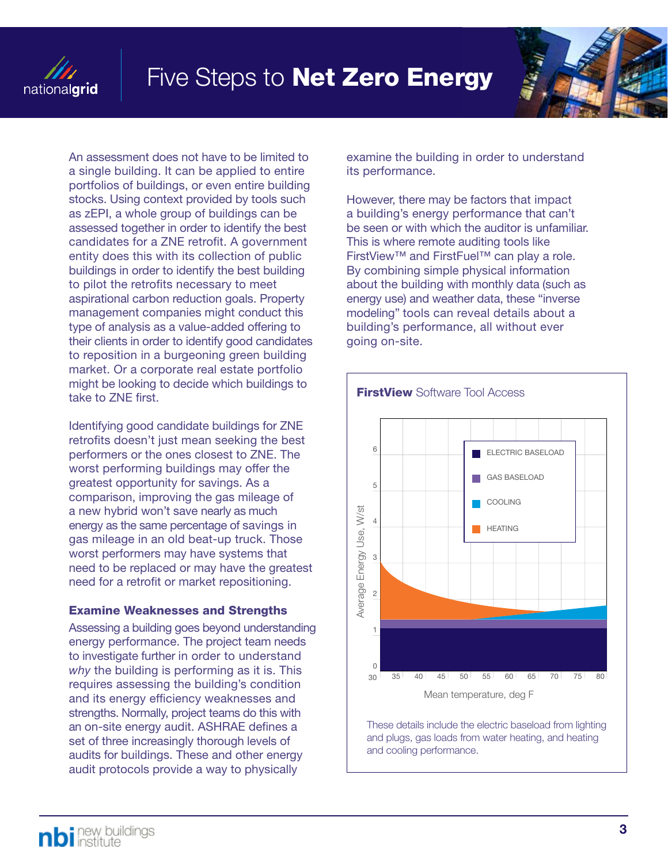



An assessment does not have to be limited to a single building. It can be applied to entire portfolios of buildings, or even entire building stocks. Using context provided by tools such as zEPI, a whole group of buildings can be assessed together in order to identify the best candidates for a ZNE retrofit. A government entity does this with its collection of public buildings in order to identify the best building to pilot the retrofits necessary to meet aspirational carbon reduction goals. Property management companies might conduct this type of analysis as a value-added offering to their clients in order to identify good candidates to reposition in a burgeoning green building market. Or a corporate real estate portfolio might be looking to decide which buildings to take to ZNE first.

Identifying good candidate buildings for ZNE retrofits doesn't just mean seeking the best performers or the ones closest to ZNE. The worst performing buildings may offer the greatest opportunity for savings. As a comparison, improving the gas mileage of a new hybrid won't save nearly as much energy as the same percentage of savings in gas mileage in an old beat-up truck. Those worst performers may have systems that need to be replaced or may have the greatest need for a retrofit or market repositioning.

#### Examine Weaknesses and Strengths

Assessing a building goes beyond understanding energy performance. The project team needs to investigate further in order to understand *why* the building is performing as it is. This requires assessing the building's condition and its energy efficiency weaknesses and strengths. Normally, project teams do this with an on-site energy audit. ASHRAE defines a set of three increasingly thorough levels of audits for buildings. These and other energy audit protocols provide a way to physically

examine the building in order to understand its performance.

However, there may be factors that impact a building's energy performance that can't be seen or with which the auditor is unfamiliar. This is where remote auditing tools like FirstView™ and FirstFuel™ can play a role. By combining simple physical information about the building with monthly data (such as energy use) and weather data, these "inverse modeling" tools can reveal details about a building's performance, all without ever going on-site.



These details include the electric baseload from lighting and plugs, gas loads from water heating, and heating and cooling performance.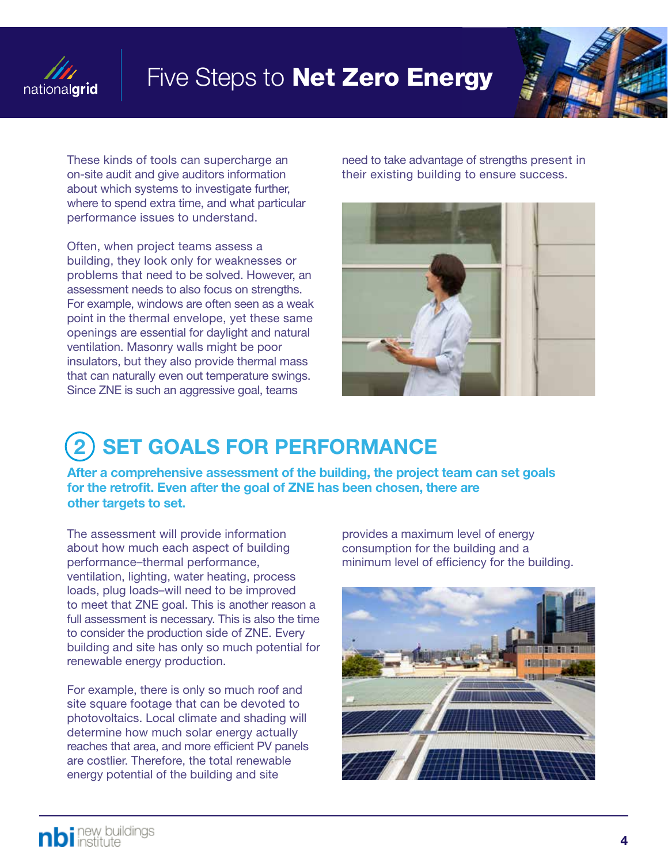



These kinds of tools can supercharge an on-site audit and give auditors information about which systems to investigate further, where to spend extra time, and what particular performance issues to understand.

Often, when project teams assess a building, they look only for weaknesses or problems that need to be solved. However, an assessment needs to also focus on strengths. For example, windows are often seen as a weak point in the thermal envelope, yet these same openings are essential for daylight and natural ventilation. Masonry walls might be poor insulators, but they also provide thermal mass that can naturally even out temperature swings. Since ZNE is such an aggressive goal, teams

need to take advantage of strengths present in their existing building to ensure success.



### **SET GOALS FOR PERFORMANCE**

After a comprehensive assessment of the building, the project team can set goals for the retrofit. Even after the goal of ZNE has been chosen, there are other targets to set.

The assessment will provide information about how much each aspect of building performance–thermal performance, ventilation, lighting, water heating, process loads, plug loads–will need to be improved to meet that ZNE goal. This is another reason a full assessment is necessary. This is also the time to consider the production side of ZNE. Every building and site has only so much potential for renewable energy production.

For example, there is only so much roof and site square footage that can be devoted to photovoltaics. Local climate and shading will determine how much solar energy actually reaches that area, and more efficient PV panels are costlier. Therefore, the total renewable energy potential of the building and site

provides a maximum level of energy consumption for the building and a minimum level of efficiency for the building.

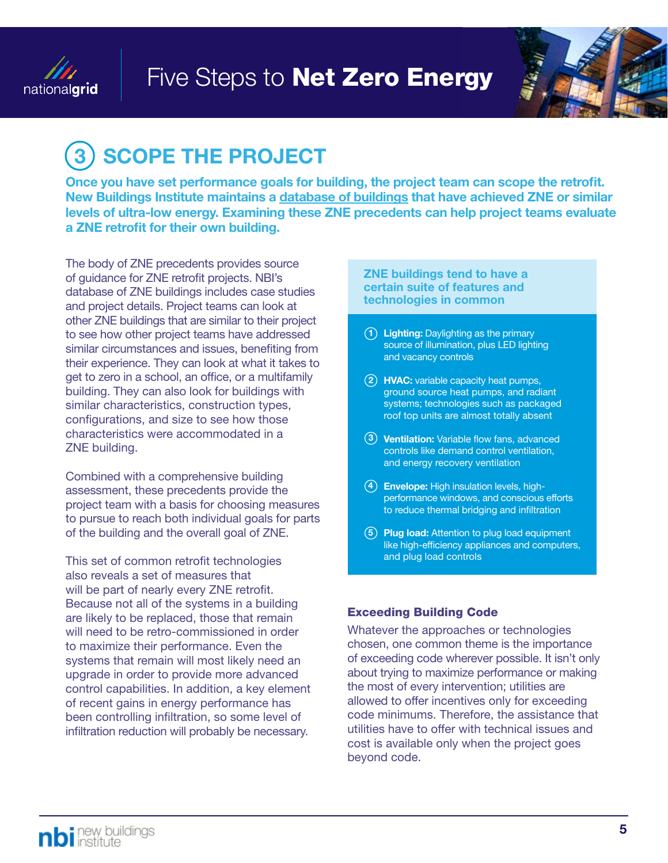



# **SCOPE THE PROJECT**

Once you have set performance goals for building, the project team can scope the retrofit. New Buildings Institute maintains a [database of buildings](http://newbuildings.org/getting-to-zero-buildings-database) that have achieved ZNE or similar levels of ultra-low energy. Examining these ZNE precedents can help project teams evaluate a ZNE retrofit for their own building.

The body of ZNE precedents provides source of guidance for ZNE retrofit projects. NBI's database of ZNE buildings includes case studies and project details. Project teams can look at other ZNE buildings that are similar to their project to see how other project teams have addressed similar circumstances and issues, benefiting from their experience. They can look at what it takes to get to zero in a school, an office, or a multifamily building. They can also look for buildings with similar characteristics, construction types, configurations, and size to see how those characteristics were accommodated in a ZNE building.

Combined with a comprehensive building assessment, these precedents provide the project team with a basis for choosing measures to pursue to reach both individual goals for parts of the building and the overall goal of ZNE.

This set of common retrofit technologies also reveals a set of measures that will be part of nearly every ZNE retrofit. Because not all of the systems in a building are likely to be replaced, those that remain will need to be retro-commissioned in order to maximize their performance. Even the systems that remain will most likely need an upgrade in order to provide more advanced control capabilities. In addition, a key element of recent gains in energy performance has been controlling infiltration, so some level of infiltration reduction will probably be necessary.

ZNE buildings tend to have a certain suite of features and technologies in common

- $(1)$  Lighting: Daylighting as the primary source of illumination, plus LED lighting and vacancy controls
	- (2) HVAC: variable capacity heat pumps, ground source heat pumps, and radiant systems; technologies such as packaged roof top units are almost totally absent
	- 3) Ventilation: Variable flow fans, advanced controls like demand control ventilation, and energy recovery ventilation
- (4) **Envelope:** High insulation levels, highperformance windows, and conscious efforts to reduce thermal bridging and infiltration
- $(5)$  Plug load: Attention to plug load equipment like high-efficiency appliances and computers, and plug load controls

#### Exceeding Building Code

Whatever the approaches or technologies chosen, one common theme is the importance of exceeding code wherever possible. It isn't only about trying to maximize performance or making the most of every intervention; utilities are allowed to offer incentives only for exceeding code minimums. Therefore, the assistance that utilities have to offer with technical issues and cost is available only when the project goes beyond code.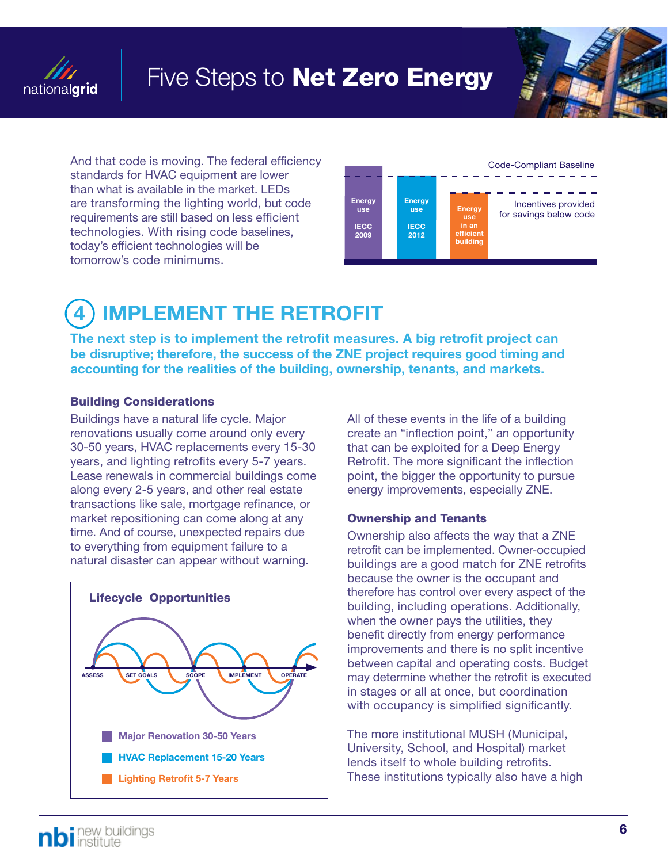



And that code is moving. The federal efficiency standards for HVAC equipment are lower than what is available in the market. LEDs are transforming the lighting world, but code requirements are still based on less efficient technologies. With rising code baselines, today's efficient technologies will be tomorrow's code minimums.



# **IMPLEMENT THE RETROFIT**

The next step is to implement the retrofit measures. A big retrofit project can be disruptive; therefore, the success of the ZNE project requires good timing and accounting for the realities of the building, ownership, tenants, and markets.

#### Building Considerations

Buildings have a natural life cycle. Major renovations usually come around only every 30-50 years, HVAC replacements every 15-30 years, and lighting retrofits every 5-7 years. Lease renewals in commercial buildings come along every 2-5 years, and other real estate transactions like sale, mortgage refinance, or market repositioning can come along at any time. And of course, unexpected repairs due to everything from equipment failure to a natural disaster can appear without warning.



All of these events in the life of a building create an "inflection point," an opportunity that can be exploited for a Deep Energy Retrofit. The more significant the inflection point, the bigger the opportunity to pursue energy improvements, especially ZNE.

#### Ownership and Tenants

Ownership also affects the way that a ZNE retrofit can be implemented. Owner-occupied buildings are a good match for ZNE retrofits because the owner is the occupant and therefore has control over every aspect of the building, including operations. Additionally, when the owner pays the utilities, they benefit directly from energy performance improvements and there is no split incentive between capital and operating costs. Budget may determine whether the retrofit is executed in stages or all at once, but coordination with occupancy is simplified significantly.

The more institutional MUSH (Municipal, University, School, and Hospital) market lends itself to whole building retrofits. These institutions typically also have a high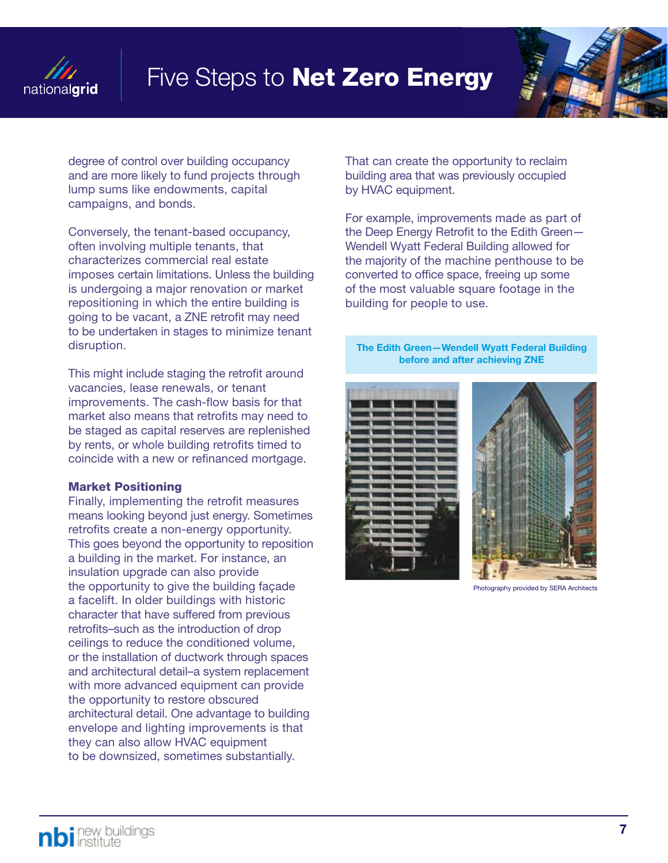



degree of control over building occupancy and are more likely to fund projects through lump sums like endowments, capital campaigns, and bonds.

Conversely, the tenant-based occupancy, often involving multiple tenants, that characterizes commercial real estate imposes certain limitations. Unless the building is undergoing a major renovation or market repositioning in which the entire building is going to be vacant, a ZNE retrofit may need to be undertaken in stages to minimize tenant disruption.

This might include staging the retrofit around vacancies, lease renewals, or tenant improvements. The cash-flow basis for that market also means that retrofits may need to be staged as capital reserves are replenished by rents, or whole building retrofits timed to coincide with a new or refinanced mortgage.

#### Market Positioning

Finally, implementing the retrofit measures means looking beyond just energy. Sometimes retrofits create a non-energy opportunity. This goes beyond the opportunity to reposition a building in the market. For instance, an insulation upgrade can also provide the opportunity to give the building façade a facelift. In older buildings with historic character that have suffered from previous retrofits–such as the introduction of drop ceilings to reduce the conditioned volume, or the installation of ductwork through spaces and architectural detail–a system replacement with more advanced equipment can provide the opportunity to restore obscured architectural detail. One advantage to building envelope and lighting improvements is that they can also allow HVAC equipment to be downsized, sometimes substantially.

That can create the opportunity to reclaim building area that was previously occupied by HVAC equipment.

For example, improvements made as part of the Deep Energy Retrofit to the Edith Green— Wendell Wyatt Federal Building allowed for the majority of the machine penthouse to be converted to office space, freeing up some of the most valuable square footage in the building for people to use.

The Edith Green—Wendell Wyatt Federal Building before and after achieving ZNE





Photography provided by SERA Architects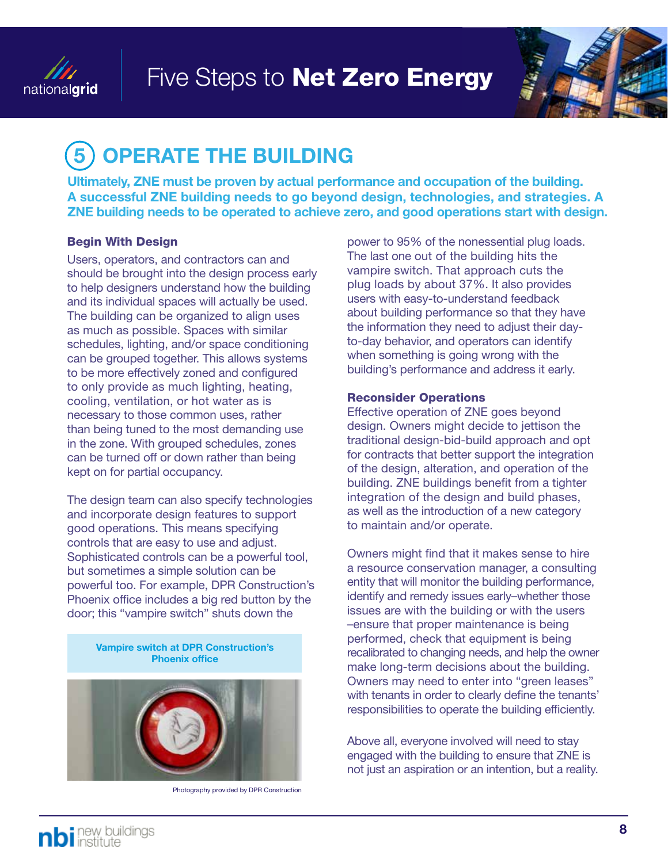



# **OPERATE THE BUILDING**

Ultimately, ZNE must be proven by actual performance and occupation of the building. A successful ZNE building needs to go beyond design, technologies, and strategies. A ZNE building needs to be operated to achieve zero, and good operations start with design.

#### Begin With Design

Users, operators, and contractors can and should be brought into the design process early to help designers understand how the building and its individual spaces will actually be used. The building can be organized to align uses as much as possible. Spaces with similar schedules, lighting, and/or space conditioning can be grouped together. This allows systems to be more effectively zoned and configured to only provide as much lighting, heating, cooling, ventilation, or hot water as is necessary to those common uses, rather than being tuned to the most demanding use in the zone. With grouped schedules, zones can be turned off or down rather than being kept on for partial occupancy.

The design team can also specify technologies and incorporate design features to support good operations. This means specifying controls that are easy to use and adjust. Sophisticated controls can be a powerful tool, but sometimes a simple solution can be powerful too. For example, DPR Construction's Phoenix office includes a big red button by the door; this "vampire switch" shuts down the

> Vampire switch at DPR Construction's Phoenix office



Photography provided by DPR Construction

power to 95% of the nonessential plug loads. The last one out of the building hits the vampire switch. That approach cuts the plug loads by about 37%. It also provides users with easy-to-understand feedback about building performance so that they have the information they need to adjust their dayto-day behavior, and operators can identify when something is going wrong with the building's performance and address it early.

#### Reconsider Operations

Effective operation of ZNE goes beyond design. Owners might decide to jettison the traditional design-bid-build approach and opt for contracts that better support the integration of the design, alteration, and operation of the building. ZNE buildings benefit from a tighter integration of the design and build phases, as well as the introduction of a new category to maintain and/or operate.

Owners might find that it makes sense to hire a resource conservation manager, a consulting entity that will monitor the building performance, identify and remedy issues early–whether those issues are with the building or with the users –ensure that proper maintenance is being performed, check that equipment is being recalibrated to changing needs, and help the owner make long-term decisions about the building. Owners may need to enter into "green leases" with tenants in order to clearly define the tenants' responsibilities to operate the building efficiently.

Above all, everyone involved will need to stay engaged with the building to ensure that ZNE is not just an aspiration or an intention, but a reality.